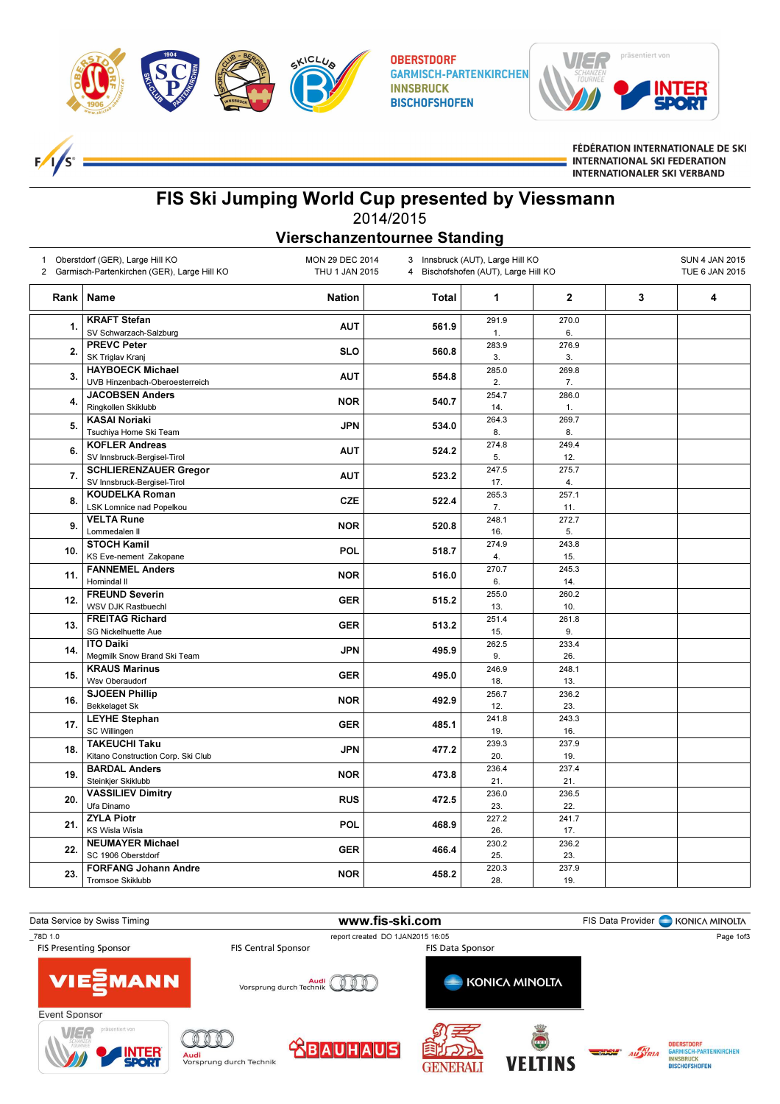

 $F_{\ell}$  $1/s<sup>o</sup>$  **OBERSTDORF GARMISCH-PARTENKIRCHEN INNSBRUCK BISCHOFSHOFEN** 



FÉDÉRATION INTERNATIONALE DE SKI **INTERNATIONAL SKI FEDERATION INTERNATIONALER SKI VERBAND** 

## FIS Ski Jumping World Cup presented by Viessmann 2014/2015

Vierschanzentournee Standing

| Oberstdorf (GER), Large Hill KO<br>1<br>2 Garmisch-Partenkirchen (GER), Large Hill KO |                                                             | <b>MON 29 DEC 2014</b><br>Innsbruck (AUT), Large Hill KO<br>3<br>THU 1 JAN 2015<br>4 Bischofshofen (AUT), Large Hill KO |              |              |              | <b>SUN 4 JAN 2015</b><br>TUE 6 JAN 2015 |   |
|---------------------------------------------------------------------------------------|-------------------------------------------------------------|-------------------------------------------------------------------------------------------------------------------------|--------------|--------------|--------------|-----------------------------------------|---|
| Rank                                                                                  | Name                                                        | <b>Nation</b>                                                                                                           | <b>Total</b> | $\mathbf{1}$ | $\mathbf 2$  | 3                                       | 4 |
| 1.                                                                                    | <b>KRAFT Stefan</b><br>SV Schwarzach-Salzburg               | <b>AUT</b>                                                                                                              | 561.9        | 291.9<br>1.  | 270.0<br>6.  |                                         |   |
| 2.                                                                                    | <b>PREVC Peter</b><br>SK Triglav Kranj                      | <b>SLO</b>                                                                                                              | 560.8        | 283.9<br>3.  | 276.9<br>3.  |                                         |   |
| 3.                                                                                    | <b>HAYBOECK Michael</b><br>UVB Hinzenbach-Oberoesterreich   | <b>AUT</b>                                                                                                              | 554.8        | 285.0<br>2.  | 269.8<br>7.  |                                         |   |
| 4.                                                                                    | <b>JACOBSEN Anders</b><br>Ringkollen Skiklubb               | <b>NOR</b>                                                                                                              | 540.7        | 254.7<br>14. | 286.0<br>1.  |                                         |   |
| 5.                                                                                    | <b>KASAI Noriaki</b><br>Tsuchiya Home Ski Team              | <b>JPN</b>                                                                                                              | 534.0        | 264.3<br>8.  | 269.7<br>8.  |                                         |   |
| 6.                                                                                    | <b>KOFLER Andreas</b><br>SV Innsbruck-Bergisel-Tirol        | <b>AUT</b>                                                                                                              | 524.2        | 274.8<br>5.  | 249.4<br>12. |                                         |   |
| 7.                                                                                    | <b>SCHLIERENZAUER Gregor</b><br>SV Innsbruck-Bergisel-Tirol | <b>AUT</b>                                                                                                              | 523.2        | 247.5<br>17. | 275.7<br>4.  |                                         |   |
| 8.                                                                                    | <b>KOUDELKA Roman</b><br><b>LSK Lomnice nad Popelkou</b>    | <b>CZE</b>                                                                                                              | 522.4        | 265.3<br>7.  | 257.1<br>11. |                                         |   |
| 9.                                                                                    | <b>VELTA Rune</b><br>Lommedalen II                          | <b>NOR</b>                                                                                                              | 520.8        | 248.1<br>16. | 272.7<br>5.  |                                         |   |
| 10.                                                                                   | <b>STOCH Kamil</b><br>KS Eve-nement Zakopane                | POL                                                                                                                     | 518.7        | 274.9<br>4.  | 243.8<br>15. |                                         |   |
| 11.                                                                                   | <b>FANNEMEL Anders</b><br>Hornindal II                      | <b>NOR</b>                                                                                                              | 516.0        | 270.7<br>6.  | 245.3<br>14. |                                         |   |
| 12.                                                                                   | <b>FREUND Severin</b><br><b>WSV DJK Rastbuechl</b>          | <b>GER</b>                                                                                                              | 515.2        | 255.0<br>13. | 260.2<br>10. |                                         |   |
| 13.                                                                                   | <b>FREITAG Richard</b><br><b>SG Nickelhuette Aue</b>        | <b>GER</b>                                                                                                              | 513.2        | 251.4<br>15. | 261.8<br>9.  |                                         |   |
| 14.                                                                                   | <b>ITO Daiki</b><br>Megmilk Snow Brand Ski Team             | <b>JPN</b>                                                                                                              | 495.9        | 262.5<br>9.  | 233.4<br>26. |                                         |   |
| 15.                                                                                   | <b>KRAUS Marinus</b><br>Wsv Oberaudorf                      | <b>GER</b>                                                                                                              | 495.0        | 246.9<br>18. | 248.1<br>13. |                                         |   |
| 16.                                                                                   | <b>SJOEEN Phillip</b><br><b>Bekkelaget Sk</b>               | <b>NOR</b>                                                                                                              | 492.9        | 256.7<br>12. | 236.2<br>23. |                                         |   |
| 17.                                                                                   | <b>LEYHE Stephan</b><br>SC Willingen                        | <b>GER</b>                                                                                                              | 485.1        | 241.8<br>19. | 243.3<br>16. |                                         |   |
| 18.                                                                                   | <b>TAKEUCHI Taku</b><br>Kitano Construction Corp. Ski Club  | <b>JPN</b>                                                                                                              | 477.2        | 239.3<br>20. | 237.9<br>19. |                                         |   |
| 19.                                                                                   | <b>BARDAL Anders</b><br>Steinkjer Skiklubb                  | <b>NOR</b>                                                                                                              | 473.8        | 236.4<br>21. | 237.4<br>21. |                                         |   |
| 20.                                                                                   | <b>VASSILIEV Dimitry</b><br>Ufa Dinamo                      | <b>RUS</b>                                                                                                              | 472.5        | 236.0<br>23. | 236.5<br>22. |                                         |   |
| 21.                                                                                   | <b>ZYLA Piotr</b><br><b>KS Wisla Wisla</b>                  | POL                                                                                                                     | 468.9        | 227.2<br>26. | 241.7<br>17. |                                         |   |
| 22.                                                                                   | <b>NEUMAYER Michael</b><br>SC 1906 Oberstdorf               | <b>GER</b>                                                                                                              | 466.4        | 230.2<br>25. | 236.2<br>23. |                                         |   |
| 23.                                                                                   | <b>FORFANG Johann Andre</b><br><b>Tromsoe Skiklubb</b>      | <b>NOR</b>                                                                                                              | 458.2        | 220.3<br>28. | 237.9<br>19. |                                         |   |

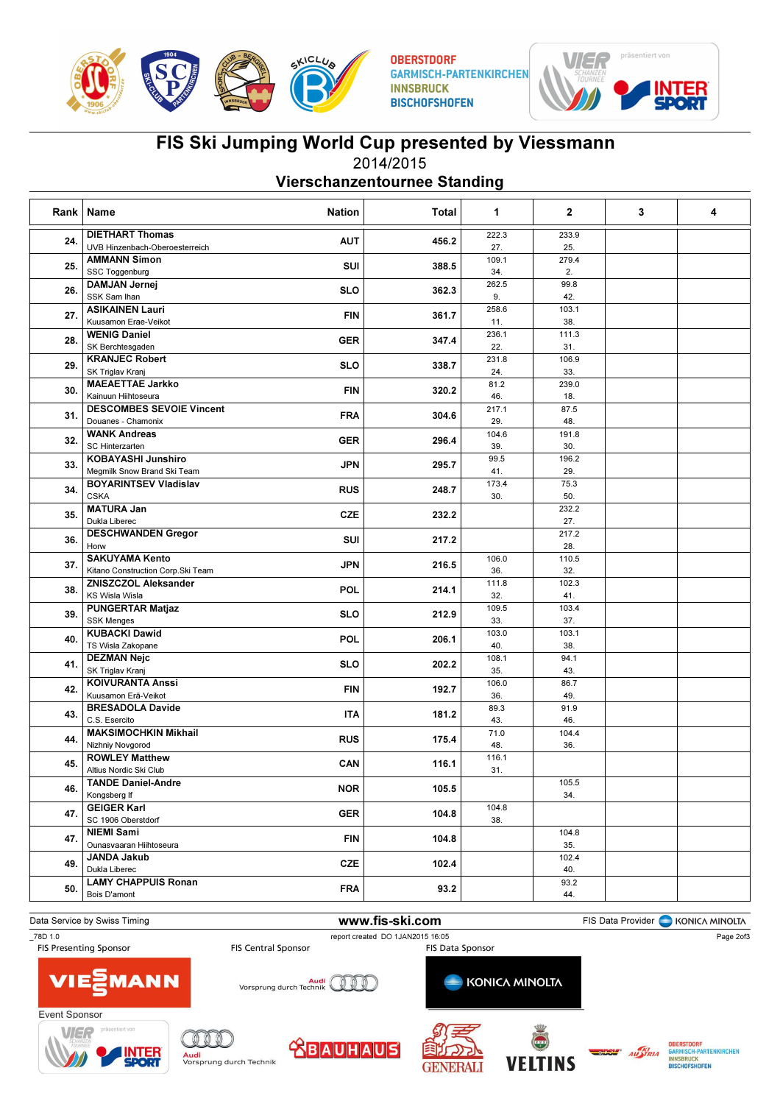

**OBERSTDORF GARMISCH-PARTENKIRCHEN INNSBRUCK BISCHOFSHOFEN** 



## FIS Ski Jumping World Cup presented by Viessmann 2014/2015

Vierschanzentournee Standing

| Rank | Name<br><b>Nation</b>                            | Total | $\mathbf{1}$ | $\overline{2}$ | 3 | 4 |
|------|--------------------------------------------------|-------|--------------|----------------|---|---|
|      | <b>DIETHART Thomas</b>                           |       | 222.3        | 233.9          |   |   |
| 24.  | <b>AUT</b><br>UVB Hinzenbach-Oberoesterreich     | 456.2 | 27.          | 25.            |   |   |
|      | <b>AMMANN Simon</b>                              |       | 109.1        | 279.4          |   |   |
| 25.  | SUI<br>SSC Toggenburg                            | 388.5 | 34.          | 2.             |   |   |
|      | <b>DAMJAN Jernej</b>                             |       | 262.5        | 99.8           |   |   |
| 26.  | <b>SLO</b><br>SSK Sam Ihan                       | 362.3 | 9.           | 42.            |   |   |
|      | <b>ASIKAINEN Lauri</b>                           | 361.7 | 258.6        | 103.1          |   |   |
| 27.  | <b>FIN</b><br>Kuusamon Erae-Veikot               |       | 11.          | 38.            |   |   |
|      | <b>WENIG Daniel</b>                              |       | 236.1        | 111.3          |   |   |
| 28.  | <b>GER</b><br>SK Berchtesgaden                   | 347.4 | 22.          | 31.            |   |   |
|      | <b>KRANJEC Robert</b>                            |       | 231.8        | 106.9          |   |   |
| 29.  | <b>SLO</b><br>SK Triglav Kranj                   | 338.7 | 24.          | 33.            |   |   |
|      | <b>MAEAETTAE Jarkko</b>                          |       | 81.2         | 239.0          |   |   |
| 30.  | <b>FIN</b><br>Kainuun Hiihtoseura                | 320.2 | 46.          | 18.            |   |   |
|      | <b>DESCOMBES SEVOIE Vincent</b>                  |       | 217.1        | 87.5           |   |   |
| 31.  | <b>FRA</b><br>Douanes - Chamonix                 | 304.6 | 29.          | 48.            |   |   |
|      | <b>WANK Andreas</b>                              |       | 104.6        | 191.8          |   |   |
| 32.  | <b>GER</b><br>SC Hinterzarten                    | 296.4 | 39.          | 30.            |   |   |
|      | <b>KOBAYASHI Junshiro</b>                        |       | 99.5         | 196.2          |   |   |
| 33.  | <b>JPN</b><br>Megmilk Snow Brand Ski Team        | 295.7 | 41.          | 29.            |   |   |
|      | <b>BOYARINTSEV Vladislav</b>                     |       | 173.4        | 75.3           |   |   |
| 34.  | <b>RUS</b><br>CSKA                               | 248.7 | 30.          | 50.            |   |   |
|      | <b>MATURA Jan</b>                                |       |              | 232.2          |   |   |
| 35.  | <b>CZE</b><br>Dukla Liberec                      | 232.2 |              | 27.            |   |   |
|      | <b>DESCHWANDEN Gregor</b>                        | 217.2 |              | 217.2          |   |   |
| 36.  | SUI<br>Horw                                      |       |              | 28.            |   |   |
|      | <b>SAKUYAMA Kento</b>                            |       | 106.0        | 110.5          |   |   |
| 37.  | <b>JPN</b><br>Kitano Construction Corp. Ski Team | 216.5 | 36.          | 32.            |   |   |
|      | <b>ZNISZCZOL Aleksander</b>                      | 214.1 | 111.8        | 102.3          |   |   |
| 38.  | <b>POL</b><br><b>KS Wisla Wisla</b>              |       | 32.          | 41.            |   |   |
|      | <b>PUNGERTAR Matjaz</b>                          | 212.9 | 109.5        | 103.4          |   |   |
| 39.  | <b>SLO</b><br><b>SSK Menges</b>                  |       | 33.          | 37.            |   |   |
|      | <b>KUBACKI Dawid</b>                             |       | 103.0        | 103.1          |   |   |
| 40.  | POL<br>TS Wisla Zakopane                         | 206.1 | 40.          | 38.            |   |   |
|      | <b>DEZMAN Nejc</b>                               |       | 108.1        | 94.1           |   |   |
| 41.  | <b>SLO</b><br>SK Triglav Kranj                   | 202.2 | 35.          | 43.            |   |   |
|      | <b>KOIVURANTA Anssi</b>                          |       | 106.0        | 86.7           |   |   |
| 42.  | <b>FIN</b><br>Kuusamon Erä-Veikot                | 192.7 | 36.          | 49.            |   |   |
|      | <b>BRESADOLA Davide</b>                          |       | 89.3         | 91.9           |   |   |
| 43.  | ITA<br>C.S. Esercito                             | 181.2 | 43.          | 46.            |   |   |
|      | <b>MAKSIMOCHKIN Mikhail</b>                      |       | 71.0         | 104.4          |   |   |
| 44.  | <b>RUS</b><br>Nizhniy Novgorod                   | 175.4 | 48.          | 36.            |   |   |
|      | <b>ROWLEY Matthew</b>                            | 116.1 | 116.1        |                |   |   |
| 45.  | CAN<br>Altius Nordic Ski Club                    |       | 31.          |                |   |   |
|      | <b>TANDE Daniel-Andre</b>                        |       |              | 105.5          |   |   |
| 46.  | <b>NOR</b><br>Kongsberg If                       | 105.5 |              | 34.            |   |   |
|      | <b>GEIGER Karl</b>                               |       | 104.8        |                |   |   |
| 47.  | <b>GER</b><br>SC 1906 Oberstdorf                 | 104.8 | 38.          |                |   |   |
|      | <b>NIEMI Sami</b>                                |       |              | 104.8          |   |   |
| 47.  | <b>FIN</b><br>Ounasvaaran Hiihtoseura            | 104.8 |              | 35.            |   |   |
| 49.  | JANDA Jakub                                      |       |              | 102.4          |   |   |
|      | <b>CZE</b><br>Dukla Liberec                      | 102.4 |              | 40.            |   |   |
|      | <b>LAMY CHAPPUIS Ronan</b>                       |       |              | 93.2           |   |   |
| 50.  | <b>FRA</b><br>Bois D'amont                       | 93.2  |              | 44.            |   |   |
|      |                                                  |       |              |                |   |   |

Data Service by Swiss Timing **Example 20 and Service Constant Constant Constant Provider** FIS Data Provider **Constant Constant Provider** KONICA MINOLTA

\_78D 1.0 report created DO 1JAN2015 16:05



Vorsprung durch Technik

**KONICA MINOLTA** 













Page 2of3